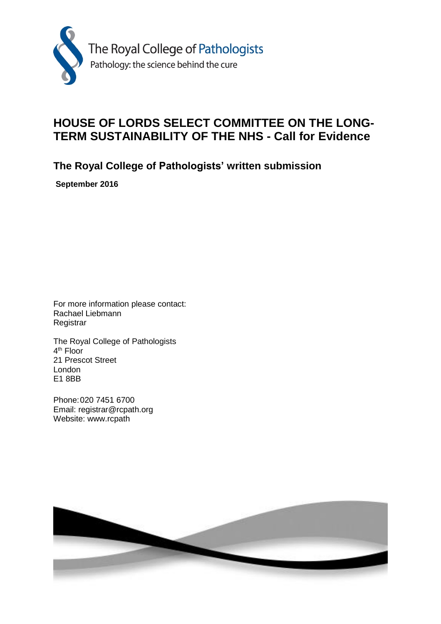

# **HOUSE OF LORDS SELECT COMMITTEE ON THE LONG-TERM SUSTAINABILITY OF THE NHS - Call for Evidence**

**The Royal College of Pathologists' written submission**

**September 2016**

For more information please contact: Rachael Liebmann Registrar

The Royal College of Pathologists 4<sup>th</sup> Floor 21 Prescot Street London E1 8BB

Phone:020 7451 6700 Email: registrar@rcpath.org Website: www.rcpath

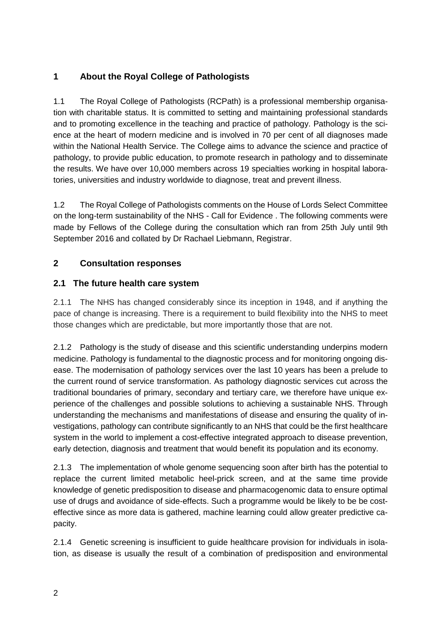# **1 About the Royal College of Pathologists**

1.1 The Royal College of Pathologists (RCPath) is a professional membership organisation with charitable status. It is committed to setting and maintaining professional standards and to promoting excellence in the teaching and practice of pathology. Pathology is the science at the heart of modern medicine and is involved in 70 per cent of all diagnoses made within the National Health Service. The College aims to advance the science and practice of pathology, to provide public education, to promote research in pathology and to disseminate the results. We have over 10,000 members across 19 specialties working in hospital laboratories, universities and industry worldwide to diagnose, treat and prevent illness.

1.2 The Royal College of Pathologists comments on the House of Lords Select Committee on the long-term sustainability of the NHS - Call for Evidence . The following comments were made by Fellows of the College during the consultation which ran from 25th July until 9th September 2016 and collated by Dr Rachael Liebmann, Registrar.

# **2 Consultation responses**

### **2.1 The future health care system**

2.1.1 The NHS has changed considerably since its inception in 1948, and if anything the pace of change is increasing. There is a requirement to build flexibility into the NHS to meet those changes which are predictable, but more importantly those that are not.

2.1.2 Pathology is the study of disease and this scientific understanding underpins modern medicine. Pathology is fundamental to the diagnostic process and for monitoring ongoing disease. The modernisation of pathology services over the last 10 years has been a prelude to the current round of service transformation. As pathology diagnostic services cut across the traditional boundaries of primary, secondary and tertiary care, we therefore have unique experience of the challenges and possible solutions to achieving a sustainable NHS. Through understanding the mechanisms and manifestations of disease and ensuring the quality of investigations, pathology can contribute significantly to an NHS that could be the first healthcare system in the world to implement a cost-effective integrated approach to disease prevention, early detection, diagnosis and treatment that would benefit its population and its economy.

2.1.3 The implementation of whole genome sequencing soon after birth has the potential to replace the current limited metabolic heel-prick screen, and at the same time provide knowledge of genetic predisposition to disease and pharmacogenomic data to ensure optimal use of drugs and avoidance of side-effects. Such a programme would be likely to be be costeffective since as more data is gathered, machine learning could allow greater predictive capacity.

2.1.4 Genetic screening is insufficient to guide healthcare provision for individuals in isolation, as disease is usually the result of a combination of predisposition and environmental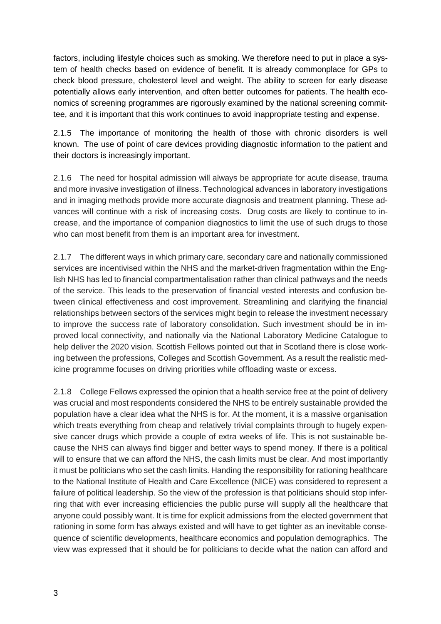factors, including lifestyle choices such as smoking. We therefore need to put in place a system of health checks based on evidence of benefit. It is already commonplace for GPs to check blood pressure, cholesterol level and weight. The ability to screen for early disease potentially allows early intervention, and often better outcomes for patients. The health economics of screening programmes are rigorously examined by the national screening committee, and it is important that this work continues to avoid inappropriate testing and expense.

2.1.5 The importance of monitoring the health of those with chronic disorders is well known. The use of point of care devices providing diagnostic information to the patient and their doctors is increasingly important.

2.1.6 The need for hospital admission will always be appropriate for acute disease, trauma and more invasive investigation of illness. Technological advances in laboratory investigations and in imaging methods provide more accurate diagnosis and treatment planning. These advances will continue with a risk of increasing costs. Drug costs are likely to continue to increase, and the importance of companion diagnostics to limit the use of such drugs to those who can most benefit from them is an important area for investment.

2.1.7 The different ways in which primary care, secondary care and nationally commissioned services are incentivised within the NHS and the market-driven fragmentation within the English NHS has led to financial compartmentalisation rather than clinical pathways and the needs of the service. This leads to the preservation of financial vested interests and confusion between clinical effectiveness and cost improvement. Streamlining and clarifying the financial relationships between sectors of the services might begin to release the investment necessary to improve the success rate of laboratory consolidation. Such investment should be in improved local connectivity, and nationally via the National Laboratory Medicine Catalogue to help deliver the 2020 vision. Scottish Fellows pointed out that in Scotland there is close working between the professions, Colleges and Scottish Government. As a result the realistic medicine programme focuses on driving priorities while offloading waste or excess.

2.1.8 College Fellows expressed the opinion that a health service free at the point of delivery was crucial and most respondents considered the NHS to be entirely sustainable provided the population have a clear idea what the NHS is for. At the moment, it is a massive organisation which treats everything from cheap and relatively trivial complaints through to hugely expensive cancer drugs which provide a couple of extra weeks of life. This is not sustainable because the NHS can always find bigger and better ways to spend money. If there is a political will to ensure that we can afford the NHS, the cash limits must be clear. And most importantly it must be politicians who set the cash limits. Handing the responsibility for rationing healthcare to the National Institute of Health and Care Excellence (NICE) was considered to represent a failure of political leadership. So the view of the profession is that politicians should stop inferring that with ever increasing efficiencies the public purse will supply all the healthcare that anyone could possibly want. It is time for explicit admissions from the elected government that rationing in some form has always existed and will have to get tighter as an inevitable consequence of scientific developments, healthcare economics and population demographics. The view was expressed that it should be for politicians to decide what the nation can afford and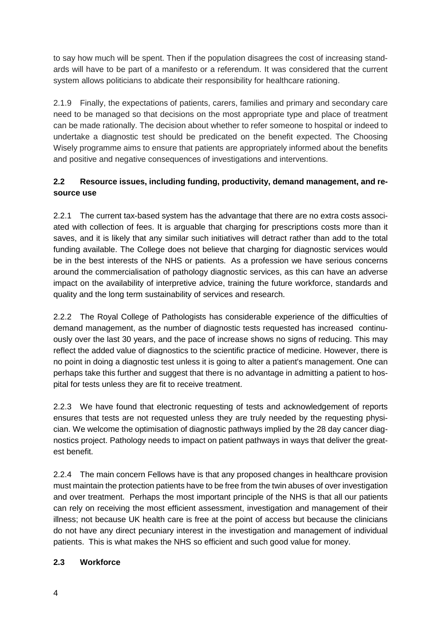to say how much will be spent. Then if the population disagrees the cost of increasing standards will have to be part of a manifesto or a referendum. It was considered that the current system allows politicians to abdicate their responsibility for healthcare rationing.

2.1.9 Finally, the expectations of patients, carers, families and primary and secondary care need to be managed so that decisions on the most appropriate type and place of treatment can be made rationally. The decision about whether to refer someone to hospital or indeed to undertake a diagnostic test should be predicated on the benefit expected. The Choosing Wisely programme aims to ensure that patients are appropriately informed about the benefits and positive and negative consequences of investigations and interventions.

## **2.2 Resource issues, including funding, productivity, demand management, and resource use**

2.2.1 The current tax-based system has the advantage that there are no extra costs associated with collection of fees. It is arguable that charging for prescriptions costs more than it saves, and it is likely that any similar such initiatives will detract rather than add to the total funding available. The College does not believe that charging for diagnostic services would be in the best interests of the NHS or patients. As a profession we have serious concerns around the commercialisation of pathology diagnostic services, as this can have an adverse impact on the availability of interpretive advice, training the future workforce, standards and quality and the long term sustainability of services and research.

2.2.2 The Royal College of Pathologists has considerable experience of the difficulties of demand management, as the number of diagnostic tests requested has increased continuously over the last 30 years, and the pace of increase shows no signs of reducing. This may reflect the added value of diagnostics to the scientific practice of medicine. However, there is no point in doing a diagnostic test unless it is going to alter a patient's management. One can perhaps take this further and suggest that there is no advantage in admitting a patient to hospital for tests unless they are fit to receive treatment.

2.2.3 We have found that electronic requesting of tests and acknowledgement of reports ensures that tests are not requested unless they are truly needed by the requesting physician. We welcome the optimisation of diagnostic pathways implied by the 28 day cancer diagnostics project. Pathology needs to impact on patient pathways in ways that deliver the greatest benefit.

2.2.4 The main concern Fellows have is that any proposed changes in healthcare provision must maintain the protection patients have to be free from the twin abuses of over investigation and over treatment. Perhaps the most important principle of the NHS is that all our patients can rely on receiving the most efficient assessment, investigation and management of their illness; not because UK health care is free at the point of access but because the clinicians do not have any direct pecuniary interest in the investigation and management of individual patients. This is what makes the NHS so efficient and such good value for money.

### **2.3 Workforce**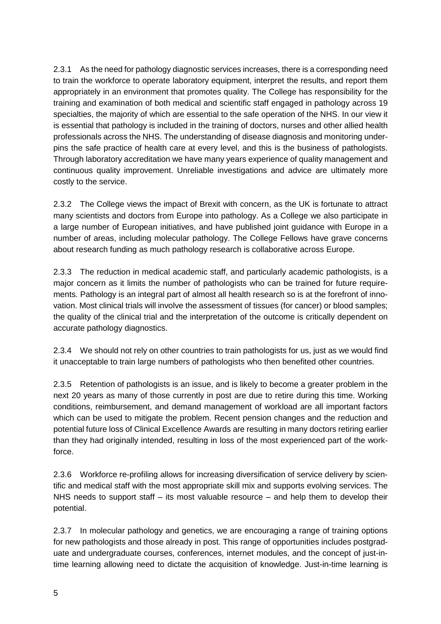2.3.1 As the need for pathology diagnostic services increases, there is a corresponding need to train the workforce to operate laboratory equipment, interpret the results, and report them appropriately in an environment that promotes quality. The College has responsibility for the training and examination of both medical and scientific staff engaged in pathology across 19 specialties, the majority of which are essential to the safe operation of the NHS. In our view it is essential that pathology is included in the training of doctors, nurses and other allied health professionals across the NHS. The understanding of disease diagnosis and monitoring underpins the safe practice of health care at every level, and this is the business of pathologists. Through laboratory accreditation we have many years experience of quality management and continuous quality improvement. Unreliable investigations and advice are ultimately more costly to the service.

2.3.2 The College views the impact of Brexit with concern, as the UK is fortunate to attract many scientists and doctors from Europe into pathology. As a College we also participate in a large number of European initiatives, and have published joint guidance with Europe in a number of areas, including molecular pathology. The College Fellows have grave concerns about research funding as much pathology research is collaborative across Europe.

2.3.3 The reduction in medical academic staff, and particularly academic pathologists, is a major concern as it limits the number of pathologists who can be trained for future requirements. Pathology is an integral part of almost all health research so is at the forefront of innovation. Most clinical trials will involve the assessment of tissues (for cancer) or blood samples; the quality of the clinical trial and the interpretation of the outcome is critically dependent on accurate pathology diagnostics.

2.3.4 We should not rely on other countries to train pathologists for us, just as we would find it unacceptable to train large numbers of pathologists who then benefited other countries.

2.3.5 Retention of pathologists is an issue, and is likely to become a greater problem in the next 20 years as many of those currently in post are due to retire during this time. Working conditions, reimbursement, and demand management of workload are all important factors which can be used to mitigate the problem. Recent pension changes and the reduction and potential future loss of Clinical Excellence Awards are resulting in many doctors retiring earlier than they had originally intended, resulting in loss of the most experienced part of the workforce.

2.3.6 Workforce re-profiling allows for increasing diversification of service delivery by scientific and medical staff with the most appropriate skill mix and supports evolving services. The NHS needs to support staff – its most valuable resource – and help them to develop their potential.

2.3.7 In molecular pathology and genetics, we are encouraging a range of training options for new pathologists and those already in post. This range of opportunities includes postgraduate and undergraduate courses, conferences, internet modules, and the concept of just-intime learning allowing need to dictate the acquisition of knowledge. Just-in-time learning is